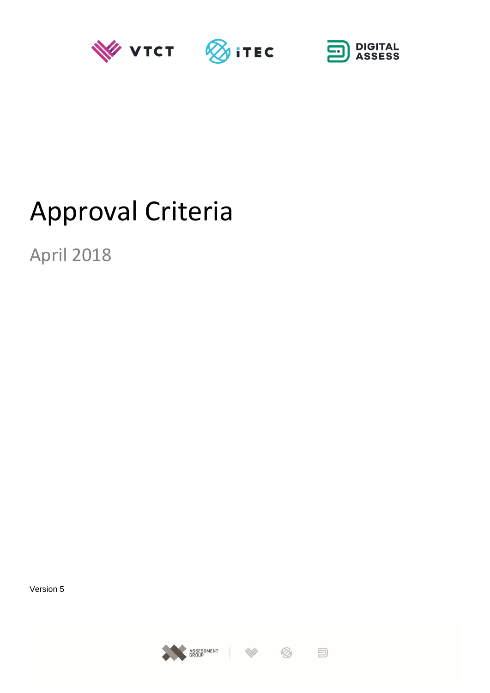





# Approval Criteria

April 2018

Version 5





 $\Xi$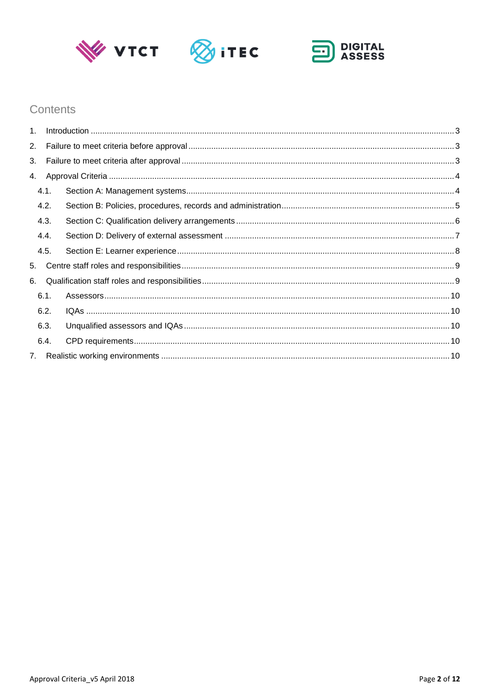





## Contents

| 1 <sup>1</sup> |      |  |  |  |  |  |
|----------------|------|--|--|--|--|--|
| 2.             |      |  |  |  |  |  |
| 3.             |      |  |  |  |  |  |
|                | 4.   |  |  |  |  |  |
|                | 4.1. |  |  |  |  |  |
|                | 4.2. |  |  |  |  |  |
|                | 4.3. |  |  |  |  |  |
|                | 4.4. |  |  |  |  |  |
|                | 4.5. |  |  |  |  |  |
| 5.             |      |  |  |  |  |  |
| 6.             |      |  |  |  |  |  |
|                | 6.1. |  |  |  |  |  |
|                | 6.2. |  |  |  |  |  |
|                | 6.3. |  |  |  |  |  |
|                | 6.4. |  |  |  |  |  |
|                |      |  |  |  |  |  |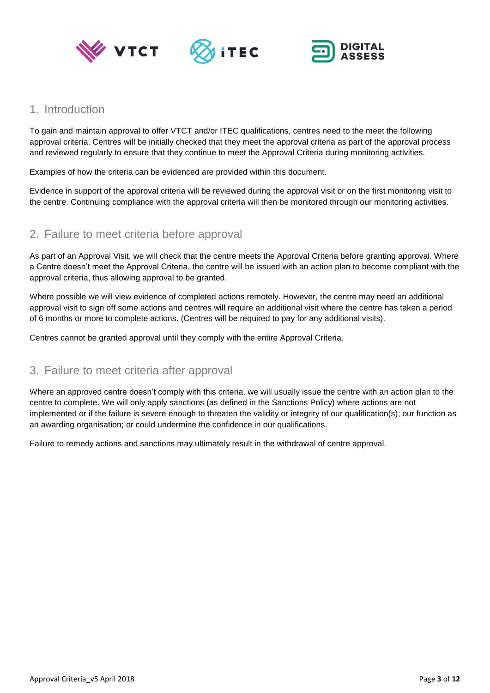





## <span id="page-2-0"></span>1. Introduction

To gain and maintain approval to offer VTCT and/or ITEC qualifications, centres need to the meet the following approval criteria. Centres will be initially checked that they meet the approval criteria as part of the approval process and reviewed regularly to ensure that they continue to meet the Approval Criteria during monitoring activities.

Examples of how the criteria can be evidenced are provided within this document.

Evidence in support of the approval criteria will be reviewed during the approval visit or on the first monitoring visit to the centre. Continuing compliance with the approval criteria will then be monitored through our monitoring activities.

## <span id="page-2-1"></span>2. Failure to meet criteria before approval

As part of an Approval Visit, we will check that the centre meets the Approval Criteria before granting approval. Where a Centre doesn't meet the Approval Criteria, the centre will be issued with an action plan to become compliant with the approval criteria, thus allowing approval to be granted.

Where possible we will view evidence of completed actions remotely. However, the centre may need an additional approval visit to sign off some actions and centres will require an additional visit where the centre has taken a period of 6 months or more to complete actions. (Centres will be required to pay for any additional visits).

Centres cannot be granted approval until they comply with the entire Approval Criteria.

## <span id="page-2-2"></span>3. Failure to meet criteria after approval

Where an approved centre doesn't comply with this criteria, we will usually issue the centre with an action plan to the centre to complete. We will only apply sanctions (as defined in the Sanctions Policy) where actions are not implemented or if the failure is severe enough to threaten the validity or integrity of our qualification(s); our function as an awarding organisation; or could undermine the confidence in our qualifications.

Failure to remedy actions and sanctions may ultimately result in the withdrawal of centre approval.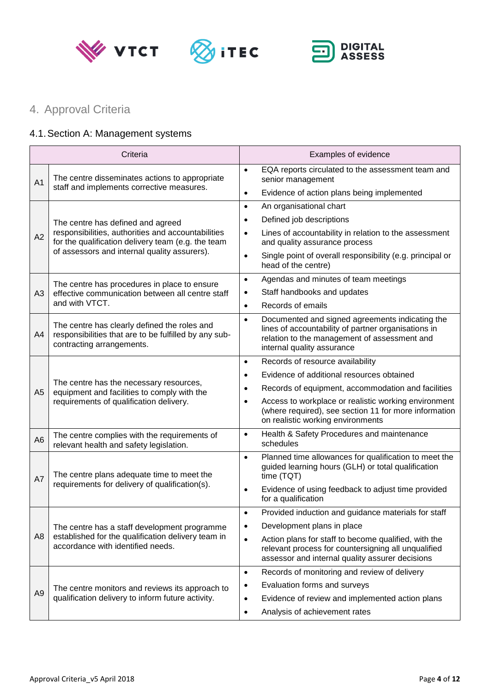





## <span id="page-3-0"></span>4. Approval Criteria

## <span id="page-3-1"></span>4.1.Section A: Management systems

| Criteria       |                                                                                                                                                                                               | Examples of evidence                                                                                                                                                                              |  |
|----------------|-----------------------------------------------------------------------------------------------------------------------------------------------------------------------------------------------|---------------------------------------------------------------------------------------------------------------------------------------------------------------------------------------------------|--|
| A <sub>1</sub> | The centre disseminates actions to appropriate                                                                                                                                                | EQA reports circulated to the assessment team and<br>$\bullet$<br>senior management                                                                                                               |  |
|                | staff and implements corrective measures.                                                                                                                                                     | Evidence of action plans being implemented<br>$\bullet$                                                                                                                                           |  |
|                | The centre has defined and agreed<br>responsibilities, authorities and accountabilities<br>for the qualification delivery team (e.g. the team<br>of assessors and internal quality assurers). | An organisational chart<br>$\bullet$                                                                                                                                                              |  |
|                |                                                                                                                                                                                               | Defined job descriptions<br>$\bullet$                                                                                                                                                             |  |
| A2             |                                                                                                                                                                                               | Lines of accountability in relation to the assessment<br>$\bullet$<br>and quality assurance process                                                                                               |  |
|                |                                                                                                                                                                                               | Single point of overall responsibility (e.g. principal or<br>$\bullet$<br>head of the centre)                                                                                                     |  |
|                | The centre has procedures in place to ensure<br>effective communication between all centre staff<br>and with VTCT.                                                                            | Agendas and minutes of team meetings<br>$\bullet$                                                                                                                                                 |  |
| A <sub>3</sub> |                                                                                                                                                                                               | Staff handbooks and updates<br>٠                                                                                                                                                                  |  |
|                |                                                                                                                                                                                               | Records of emails<br>$\bullet$                                                                                                                                                                    |  |
| A4             | The centre has clearly defined the roles and<br>responsibilities that are to be fulfilled by any sub-<br>contracting arrangements.                                                            | Documented and signed agreements indicating the<br>$\bullet$<br>lines of accountability of partner organisations in<br>relation to the management of assessment and<br>internal quality assurance |  |
|                | The centre has the necessary resources,<br>equipment and facilities to comply with the<br>requirements of qualification delivery.                                                             | Records of resource availability<br>$\bullet$                                                                                                                                                     |  |
|                |                                                                                                                                                                                               | Evidence of additional resources obtained<br>$\bullet$                                                                                                                                            |  |
| A <sub>5</sub> |                                                                                                                                                                                               | Records of equipment, accommodation and facilities<br>$\bullet$                                                                                                                                   |  |
|                |                                                                                                                                                                                               | Access to workplace or realistic working environment<br>$\bullet$<br>(where required), see section 11 for more information<br>on realistic working environments                                   |  |
| A <sub>6</sub> | The centre complies with the requirements of<br>relevant health and safety legislation.                                                                                                       | Health & Safety Procedures and maintenance<br>$\bullet$<br>schedules                                                                                                                              |  |
| A7             | The centre plans adequate time to meet the<br>requirements for delivery of qualification(s).                                                                                                  | Planned time allowances for qualification to meet the<br>$\bullet$<br>guided learning hours (GLH) or total qualification<br>time (TQT)                                                            |  |
|                |                                                                                                                                                                                               | Evidence of using feedback to adjust time provided<br>$\bullet$<br>for a qualification                                                                                                            |  |
|                | The centre has a staff development programme<br>established for the qualification delivery team in<br>accordance with identified needs.                                                       | Provided induction and guidance materials for staff<br>$\bullet$                                                                                                                                  |  |
| A <sub>8</sub> |                                                                                                                                                                                               | Development plans in place<br>$\bullet$                                                                                                                                                           |  |
|                |                                                                                                                                                                                               | Action plans for staff to become qualified, with the<br>$\bullet$<br>relevant process for countersigning all unqualified<br>assessor and internal quality assurer decisions                       |  |
|                |                                                                                                                                                                                               | Records of monitoring and review of delivery<br>$\bullet$                                                                                                                                         |  |
| A <sub>9</sub> | The centre monitors and reviews its approach to                                                                                                                                               | Evaluation forms and surveys<br>$\bullet$                                                                                                                                                         |  |
|                | qualification delivery to inform future activity.                                                                                                                                             | Evidence of review and implemented action plans<br>$\bullet$                                                                                                                                      |  |
|                |                                                                                                                                                                                               | Analysis of achievement rates<br>$\bullet$                                                                                                                                                        |  |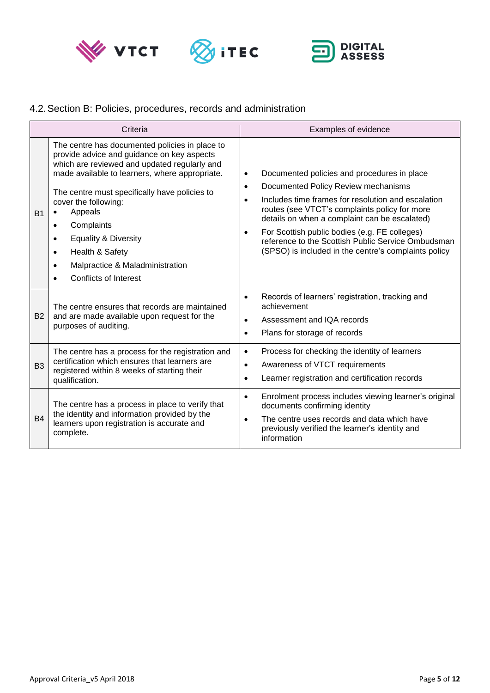





## <span id="page-4-0"></span>4.2.Section B: Policies, procedures, records and administration

|                | Criteria                                                                                                                                                                                                                                                                                                                                                                                                                                                                                         | Examples of evidence                                                                                                                                                                                                                                                                                                                                                                                                                                          |  |
|----------------|--------------------------------------------------------------------------------------------------------------------------------------------------------------------------------------------------------------------------------------------------------------------------------------------------------------------------------------------------------------------------------------------------------------------------------------------------------------------------------------------------|---------------------------------------------------------------------------------------------------------------------------------------------------------------------------------------------------------------------------------------------------------------------------------------------------------------------------------------------------------------------------------------------------------------------------------------------------------------|--|
| <b>B1</b>      | The centre has documented policies in place to<br>provide advice and guidance on key aspects<br>which are reviewed and updated regularly and<br>made available to learners, where appropriate.<br>The centre must specifically have policies to<br>cover the following:<br>Appeals<br>$\bullet$<br>Complaints<br>$\bullet$<br><b>Equality &amp; Diversity</b><br>$\bullet$<br>Health & Safety<br>$\bullet$<br>Malpractice & Maladministration<br>$\bullet$<br>Conflicts of Interest<br>$\bullet$ | Documented policies and procedures in place<br>$\bullet$<br>Documented Policy Review mechanisms<br>$\bullet$<br>Includes time frames for resolution and escalation<br>$\bullet$<br>routes (see VTCT's complaints policy for more<br>details on when a complaint can be escalated)<br>For Scottish public bodies (e.g. FE colleges)<br>$\bullet$<br>reference to the Scottish Public Service Ombudsman<br>(SPSO) is included in the centre's complaints policy |  |
| <b>B2</b>      | The centre ensures that records are maintained<br>and are made available upon request for the<br>purposes of auditing.                                                                                                                                                                                                                                                                                                                                                                           | Records of learners' registration, tracking and<br>$\bullet$<br>achievement<br>Assessment and IQA records<br>$\bullet$<br>Plans for storage of records<br>$\bullet$                                                                                                                                                                                                                                                                                           |  |
| B <sub>3</sub> | The centre has a process for the registration and<br>certification which ensures that learners are<br>registered within 8 weeks of starting their<br>qualification.                                                                                                                                                                                                                                                                                                                              | Process for checking the identity of learners<br>$\bullet$<br>Awareness of VTCT requirements<br>$\bullet$<br>Learner registration and certification records<br>$\bullet$                                                                                                                                                                                                                                                                                      |  |
| <b>B4</b>      | The centre has a process in place to verify that<br>the identity and information provided by the<br>learners upon registration is accurate and<br>complete.                                                                                                                                                                                                                                                                                                                                      | Enrolment process includes viewing learner's original<br>$\bullet$<br>documents confirming identity<br>The centre uses records and data which have<br>$\bullet$<br>previously verified the learner's identity and<br>information                                                                                                                                                                                                                              |  |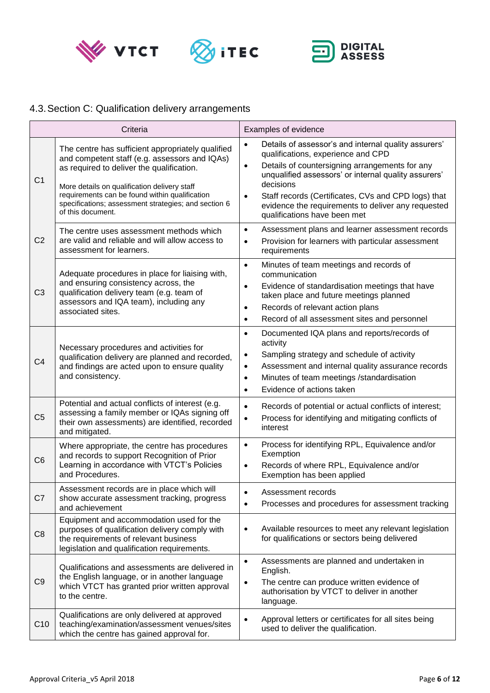





## <span id="page-5-0"></span>4.3.Section C: Qualification delivery arrangements

|                | Criteria                                                                                                                                                                                                                                                                                                                       | Examples of evidence                                                                                                                                                                                                                                                                                                                                                                                  |  |
|----------------|--------------------------------------------------------------------------------------------------------------------------------------------------------------------------------------------------------------------------------------------------------------------------------------------------------------------------------|-------------------------------------------------------------------------------------------------------------------------------------------------------------------------------------------------------------------------------------------------------------------------------------------------------------------------------------------------------------------------------------------------------|--|
| C <sub>1</sub> | The centre has sufficient appropriately qualified<br>and competent staff (e.g. assessors and IQAs)<br>as required to deliver the qualification.<br>More details on qualification delivery staff<br>requirements can be found within qualification<br>specifications; assessment strategies; and section 6<br>of this document. | Details of assessor's and internal quality assurers'<br>$\bullet$<br>qualifications, experience and CPD<br>Details of countersigning arrangements for any<br>$\bullet$<br>unqualified assessors' or internal quality assurers'<br>decisions<br>Staff records (Certificates, CVs and CPD logs) that<br>$\bullet$<br>evidence the requirements to deliver any requested<br>qualifications have been met |  |
| C <sub>2</sub> | The centre uses assessment methods which<br>are valid and reliable and will allow access to<br>assessment for learners.                                                                                                                                                                                                        | Assessment plans and learner assessment records<br>$\bullet$<br>Provision for learners with particular assessment<br>$\bullet$<br>requirements                                                                                                                                                                                                                                                        |  |
| C <sub>3</sub> | Adequate procedures in place for liaising with,<br>and ensuring consistency across, the<br>qualification delivery team (e.g. team of<br>assessors and IQA team), including any<br>associated sites.                                                                                                                            | Minutes of team meetings and records of<br>$\bullet$<br>communication<br>Evidence of standardisation meetings that have<br>$\bullet$<br>taken place and future meetings planned<br>Records of relevant action plans<br>$\bullet$<br>Record of all assessment sites and personnel<br>$\bullet$                                                                                                         |  |
| C <sub>4</sub> | Necessary procedures and activities for<br>qualification delivery are planned and recorded,<br>and findings are acted upon to ensure quality<br>and consistency.                                                                                                                                                               | Documented IQA plans and reports/records of<br>$\bullet$<br>activity<br>Sampling strategy and schedule of activity<br>$\bullet$<br>Assessment and internal quality assurance records<br>$\bullet$<br>Minutes of team meetings /standardisation<br>$\bullet$<br>Evidence of actions taken<br>$\bullet$                                                                                                 |  |
| C <sub>5</sub> | Potential and actual conflicts of interest (e.g.<br>assessing a family member or IQAs signing off<br>their own assessments) are identified, recorded<br>and mitigated.                                                                                                                                                         | Records of potential or actual conflicts of interest;<br>$\bullet$<br>Process for identifying and mitigating conflicts of<br>$\bullet$<br>interest                                                                                                                                                                                                                                                    |  |
| C <sub>6</sub> | Where appropriate, the centre has procedures<br>and records to support Recognition of Prior<br>Learning in accordance with VTCT's Policies<br>and Procedures.                                                                                                                                                                  | Process for identifying RPL, Equivalence and/or<br>$\bullet$<br>Exemption<br>Records of where RPL, Equivalence and/or<br>$\bullet$<br>Exemption has been applied                                                                                                                                                                                                                                      |  |
| C7             | Assessment records are in place which will<br>show accurate assessment tracking, progress<br>and achievement                                                                                                                                                                                                                   | Assessment records<br>$\bullet$<br>Processes and procedures for assessment tracking<br>$\bullet$                                                                                                                                                                                                                                                                                                      |  |
| C <sub>8</sub> | Equipment and accommodation used for the<br>purposes of qualification delivery comply with<br>the requirements of relevant business<br>legislation and qualification requirements.                                                                                                                                             | Available resources to meet any relevant legislation<br>$\bullet$<br>for qualifications or sectors being delivered                                                                                                                                                                                                                                                                                    |  |
| C <sub>9</sub> | Qualifications and assessments are delivered in<br>the English language, or in another language<br>which VTCT has granted prior written approval<br>to the centre.                                                                                                                                                             | Assessments are planned and undertaken in<br>$\bullet$<br>English.<br>The centre can produce written evidence of<br>$\bullet$<br>authorisation by VTCT to deliver in another<br>language.                                                                                                                                                                                                             |  |
| C10            | Qualifications are only delivered at approved<br>teaching/examination/assessment venues/sites<br>which the centre has gained approval for.                                                                                                                                                                                     | Approval letters or certificates for all sites being<br>$\bullet$<br>used to deliver the qualification.                                                                                                                                                                                                                                                                                               |  |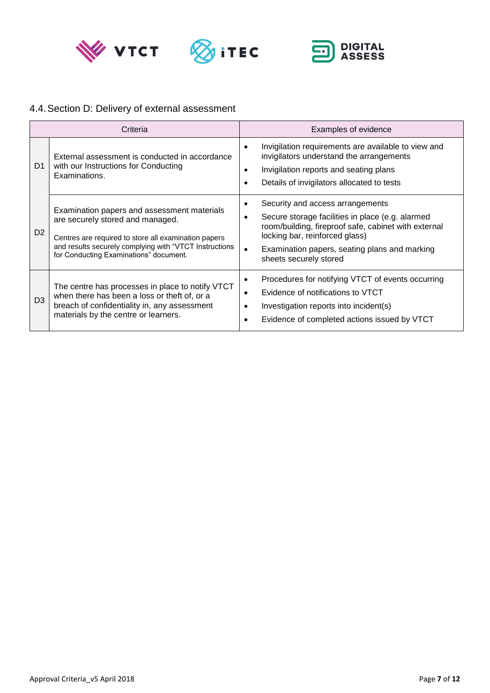





## <span id="page-6-0"></span>4.4.Section D: Delivery of external assessment

| Criteria       |                                                                                                                                                                                                                                             | Examples of evidence                                                                                                                                                                                                                                                                     |  |
|----------------|---------------------------------------------------------------------------------------------------------------------------------------------------------------------------------------------------------------------------------------------|------------------------------------------------------------------------------------------------------------------------------------------------------------------------------------------------------------------------------------------------------------------------------------------|--|
| D <sub>1</sub> | External assessment is conducted in accordance<br>with our Instructions for Conducting<br>Examinations.                                                                                                                                     | Invigilation requirements are available to view and<br>٠<br>invigilators understand the arrangements<br>Invigilation reports and seating plans<br>٠<br>Details of invigilators allocated to tests                                                                                        |  |
| D <sub>2</sub> | Examination papers and assessment materials<br>are securely stored and managed.<br>Centres are required to store all examination papers<br>and results securely complying with "VTCT Instructions<br>for Conducting Examinations" document. | Security and access arrangements<br>٠<br>Secure storage facilities in place (e.g. alarmed<br>$\bullet$<br>room/building, fireproof safe, cabinet with external<br>locking bar, reinforced glass)<br>Examination papers, seating plans and marking<br>$\bullet$<br>sheets securely stored |  |
| D <sub>3</sub> | The centre has processes in place to notify VTCT<br>when there has been a loss or theft of, or a<br>breach of confidentiality in, any assessment<br>materials by the centre or learners.                                                    | Procedures for notifying VTCT of events occurring<br>٠<br>Evidence of notifications to VTCT<br>$\bullet$<br>Investigation reports into incident(s)<br>$\bullet$<br>Evidence of completed actions issued by VTCT                                                                          |  |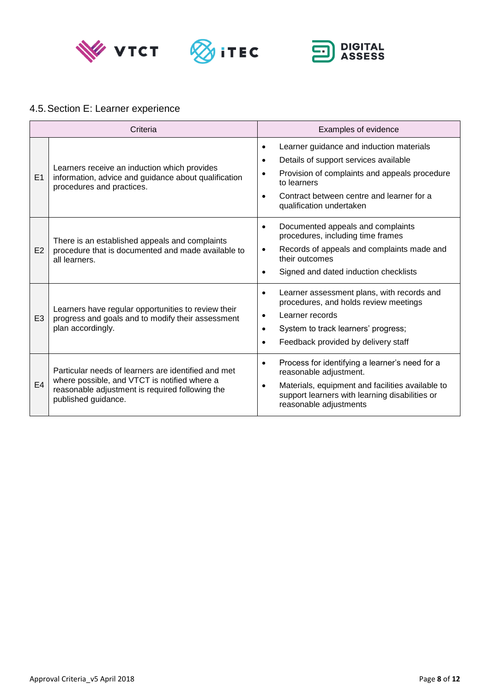





## <span id="page-7-0"></span>4.5.Section E: Learner experience

| Criteria       |                                                                                                                                                                               | Examples of evidence                                                                                                                                                                                                                                                           |  |
|----------------|-------------------------------------------------------------------------------------------------------------------------------------------------------------------------------|--------------------------------------------------------------------------------------------------------------------------------------------------------------------------------------------------------------------------------------------------------------------------------|--|
| E1             | Learners receive an induction which provides<br>information, advice and guidance about qualification<br>procedures and practices.                                             | Learner guidance and induction materials<br>$\bullet$<br>Details of support services available<br>$\bullet$<br>Provision of complaints and appeals procedure<br>$\bullet$<br>to learners<br>Contract between centre and learner for a<br>$\bullet$<br>qualification undertaken |  |
| E2             | There is an established appeals and complaints<br>procedure that is documented and made available to<br>all learners.                                                         | Documented appeals and complaints<br>$\bullet$<br>procedures, including time frames<br>Records of appeals and complaints made and<br>$\bullet$<br>their outcomes<br>Signed and dated induction checklists<br>$\bullet$                                                         |  |
| E <sub>3</sub> | Learners have regular opportunities to review their<br>progress and goals and to modify their assessment<br>plan accordingly.                                                 | Learner assessment plans, with records and<br>$\bullet$<br>procedures, and holds review meetings<br>Learner records<br>٠<br>System to track learners' progress;<br>$\bullet$<br>Feedback provided by delivery staff<br>٠                                                       |  |
| E <sub>4</sub> | Particular needs of learners are identified and met<br>where possible, and VTCT is notified where a<br>reasonable adjustment is required following the<br>published guidance. | Process for identifying a learner's need for a<br>$\bullet$<br>reasonable adjustment.<br>Materials, equipment and facilities available to<br>$\bullet$<br>support learners with learning disabilities or<br>reasonable adjustments                                             |  |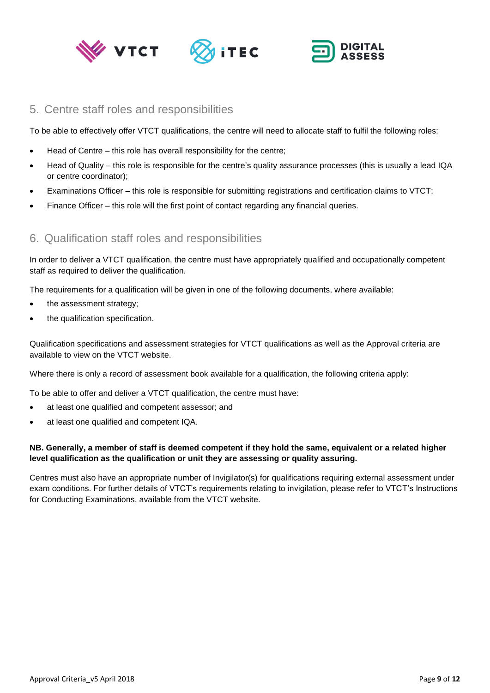





#### <span id="page-8-0"></span>5. Centre staff roles and responsibilities

To be able to effectively offer VTCT qualifications, the centre will need to allocate staff to fulfil the following roles:

- Head of Centre this role has overall responsibility for the centre;
- Head of Quality this role is responsible for the centre's quality assurance processes (this is usually a lead IQA or centre coordinator);
- Examinations Officer this role is responsible for submitting registrations and certification claims to VTCT;
- <span id="page-8-1"></span>• Finance Officer – this role will the first point of contact regarding any financial queries.

## 6. Qualification staff roles and responsibilities

In order to deliver a VTCT qualification, the centre must have appropriately qualified and occupationally competent staff as required to deliver the qualification.

The requirements for a qualification will be given in one of the following documents, where available:

- the assessment strategy;
- the qualification specification.

Qualification specifications and assessment strategies for VTCT qualifications as well as the Approval criteria are available to view on the VTCT website.

Where there is only a record of assessment book available for a qualification, the following criteria apply:

To be able to offer and deliver a VTCT qualification, the centre must have:

- at least one qualified and competent assessor; and
- at least one qualified and competent IQA.

#### **NB. Generally, a member of staff is deemed competent if they hold the same, equivalent or a related higher level qualification as the qualification or unit they are assessing or quality assuring.**

Centres must also have an appropriate number of Invigilator(s) for qualifications requiring external assessment under exam conditions. For further details of VTCT's requirements relating to invigilation, please refer to VTCT's Instructions for Conducting Examinations, available from the VTCT website.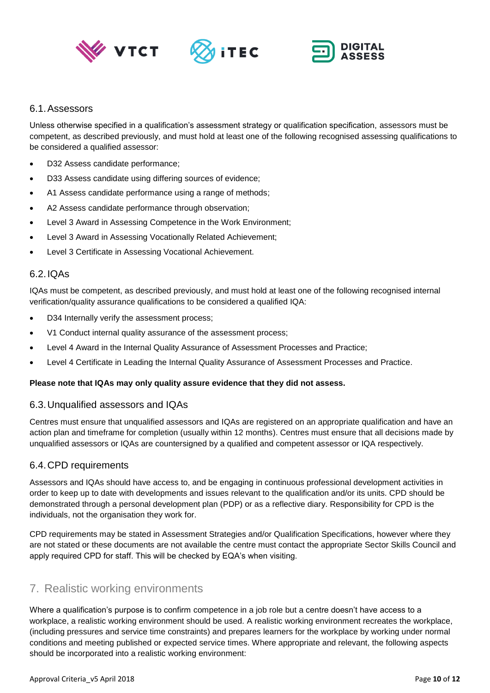





#### <span id="page-9-0"></span>6.1.Assessors

Unless otherwise specified in a qualification's assessment strategy or qualification specification, assessors must be competent, as described previously, and must hold at least one of the following recognised assessing qualifications to be considered a qualified assessor:

- D32 Assess candidate performance;
- D33 Assess candidate using differing sources of evidence;
- A1 Assess candidate performance using a range of methods;
- A2 Assess candidate performance through observation;
- Level 3 Award in Assessing Competence in the Work Environment:
- Level 3 Award in Assessing Vocationally Related Achievement;
- Level 3 Certificate in Assessing Vocational Achievement.

#### <span id="page-9-1"></span>6.2.IQAs

IQAs must be competent, as described previously, and must hold at least one of the following recognised internal verification/quality assurance qualifications to be considered a qualified IQA:

- D34 Internally verify the assessment process;
- V1 Conduct internal quality assurance of the assessment process;
- Level 4 Award in the Internal Quality Assurance of Assessment Processes and Practice;
- Level 4 Certificate in Leading the Internal Quality Assurance of Assessment Processes and Practice.

#### **Please note that IQAs may only quality assure evidence that they did not assess.**

#### <span id="page-9-2"></span>6.3.Unqualified assessors and IQAs

Centres must ensure that unqualified assessors and IQAs are registered on an appropriate qualification and have an action plan and timeframe for completion (usually within 12 months). Centres must ensure that all decisions made by unqualified assessors or IQAs are countersigned by a qualified and competent assessor or IQA respectively.

#### <span id="page-9-3"></span>6.4.CPD requirements

Assessors and IQAs should have access to, and be engaging in continuous professional development activities in order to keep up to date with developments and issues relevant to the qualification and/or its units. CPD should be demonstrated through a personal development plan (PDP) or as a reflective diary. Responsibility for CPD is the individuals, not the organisation they work for.

CPD requirements may be stated in Assessment Strategies and/or Qualification Specifications, however where they are not stated or these documents are not available the centre must contact the appropriate Sector Skills Council and apply required CPD for staff. This will be checked by EQA's when visiting.

#### <span id="page-9-4"></span>7. Realistic working environments

Where a qualification's purpose is to confirm competence in a job role but a centre doesn't have access to a workplace, a realistic working environment should be used. A realistic working environment recreates the workplace, (including pressures and service time constraints) and prepares learners for the workplace by working under normal conditions and meeting published or expected service times. Where appropriate and relevant, the following aspects should be incorporated into a realistic working environment: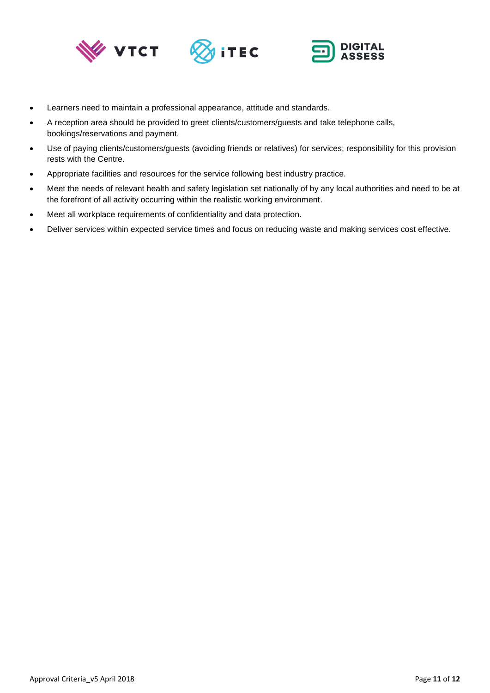





- Learners need to maintain a professional appearance, attitude and standards.
- A reception area should be provided to greet clients/customers/guests and take telephone calls, bookings/reservations and payment.
- Use of paying clients/customers/guests (avoiding friends or relatives) for services; responsibility for this provision rests with the Centre.
- Appropriate facilities and resources for the service following best industry practice.
- Meet the needs of relevant health and safety legislation set nationally of by any local authorities and need to be at the forefront of all activity occurring within the realistic working environment.
- Meet all workplace requirements of confidentiality and data protection.
- Deliver services within expected service times and focus on reducing waste and making services cost effective.